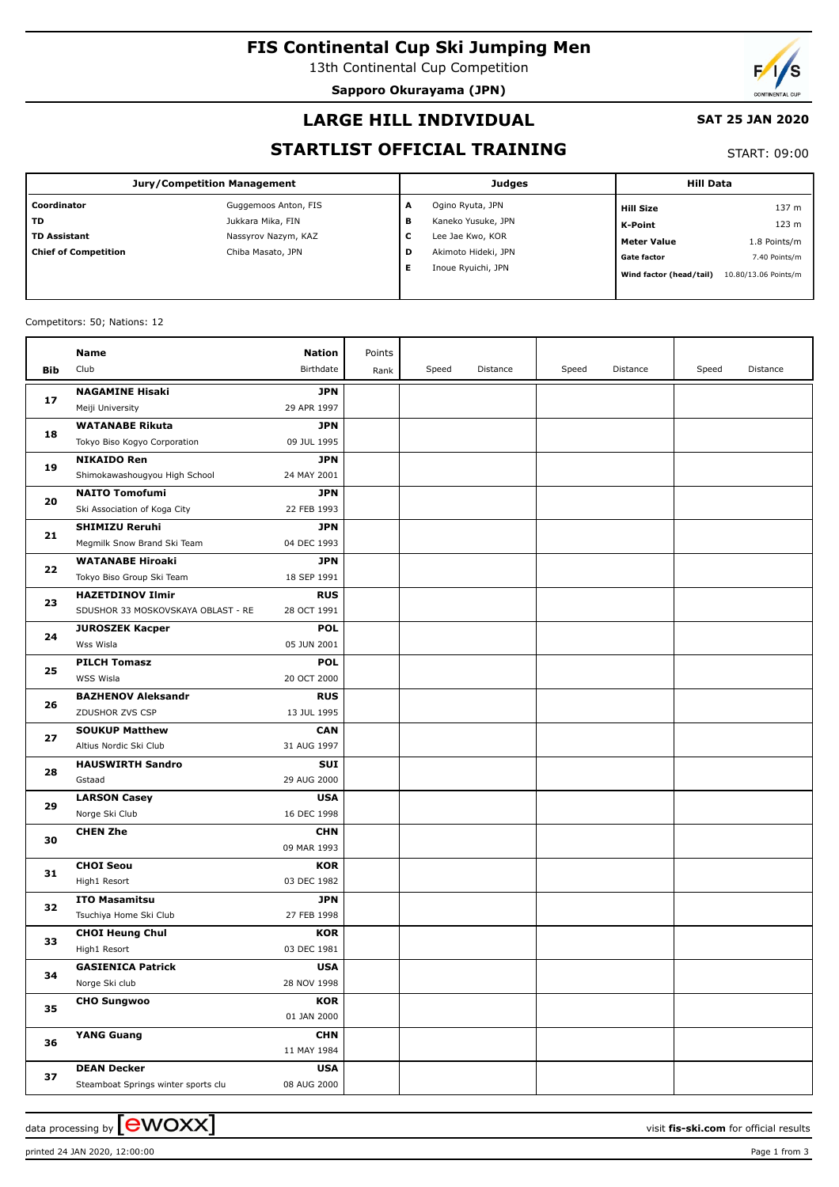# **FIS Continental Cup Ski Jumping Men**

13th Continental Cup Competition

**Sapporo Okurayama (JPN)**



### **LARGE HILL INDIVIDUAL**

#### **SAT 25 JAN 2020**

## **STARTLIST OFFICIAL TRAINING**

START: 09:00

| Jury/Competition Management |                      |   | <b>Judges</b>       | <b>Hill Data</b>        |                      |  |
|-----------------------------|----------------------|---|---------------------|-------------------------|----------------------|--|
| Coordinator                 | Guggemoos Anton, FIS | A | Ogino Ryuta, JPN    | <b>Hill Size</b>        | 137 m                |  |
| l TD                        | Jukkara Mika, FIN    | в | Kaneko Yusuke, JPN  | K-Point                 | 123 <sub>m</sub>     |  |
| TD Assistant                | Nassyrov Nazym, KAZ  | c | Lee Jae Kwo, KOR    | <b>Meter Value</b>      | 1.8 Points/m         |  |
| <b>Chief of Competition</b> | Chiba Masato, JPN    | D | Akimoto Hideki, JPN | <b>Gate factor</b>      | 7.40 Points/m        |  |
|                             |                      | Е | Inoue Ryuichi, JPN  | Wind factor (head/tail) | 10.80/13.06 Points/m |  |

#### Competitors: 50; Nations: 12

|          | Name                                           | <b>Nation</b>             | Points |       |          |       |          |       |          |
|----------|------------------------------------------------|---------------------------|--------|-------|----------|-------|----------|-------|----------|
| Bib      | Club                                           | Birthdate                 | Rank   | Speed | Distance | Speed | Distance | Speed | Distance |
|          | <b>NAGAMINE Hisaki</b>                         | <b>JPN</b>                |        |       |          |       |          |       |          |
| 17       | Meiji University                               | 29 APR 1997               |        |       |          |       |          |       |          |
| 18<br>19 | <b>WATANABE Rikuta</b>                         | <b>JPN</b>                |        |       |          |       |          |       |          |
|          | Tokyo Biso Kogyo Corporation                   | 09 JUL 1995               |        |       |          |       |          |       |          |
|          | <b>NIKAIDO Ren</b>                             | <b>JPN</b>                |        |       |          |       |          |       |          |
|          | Shimokawashougyou High School                  | 24 MAY 2001               |        |       |          |       |          |       |          |
|          | <b>NAITO Tomofumi</b>                          | <b>JPN</b>                |        |       |          |       |          |       |          |
| 20       | Ski Association of Koga City                   | 22 FEB 1993               |        |       |          |       |          |       |          |
|          | <b>SHIMIZU Reruhi</b>                          | <b>JPN</b>                |        |       |          |       |          |       |          |
| 21       | Megmilk Snow Brand Ski Team                    | 04 DEC 1993               |        |       |          |       |          |       |          |
|          | <b>WATANABE Hiroaki</b>                        | <b>JPN</b>                |        |       |          |       |          |       |          |
| 22       | Tokyo Biso Group Ski Team                      | 18 SEP 1991               |        |       |          |       |          |       |          |
|          | <b>HAZETDINOV Ilmir</b>                        | <b>RUS</b>                |        |       |          |       |          |       |          |
| 23       | SDUSHOR 33 MOSKOVSKAYA OBLAST - RE             | 28 OCT 1991               |        |       |          |       |          |       |          |
| 24       | <b>JUROSZEK Kacper</b>                         | <b>POL</b>                |        |       |          |       |          |       |          |
|          | Wss Wisla                                      | 05 JUN 2001               |        |       |          |       |          |       |          |
| 25       | <b>PILCH Tomasz</b>                            | <b>POL</b>                |        |       |          |       |          |       |          |
|          | WSS Wisla                                      | 20 OCT 2000               |        |       |          |       |          |       |          |
| 26       | <b>BAZHENOV Aleksandr</b>                      | <b>RUS</b>                |        |       |          |       |          |       |          |
|          | ZDUSHOR ZVS CSP                                | 13 JUL 1995               |        |       |          |       |          |       |          |
| 27       | <b>SOUKUP Matthew</b>                          | <b>CAN</b>                |        |       |          |       |          |       |          |
|          | Altius Nordic Ski Club                         | 31 AUG 1997               |        |       |          |       |          |       |          |
| 28       | <b>HAUSWIRTH Sandro</b>                        | <b>SUI</b>                |        |       |          |       |          |       |          |
|          | Gstaad                                         | 29 AUG 2000               |        |       |          |       |          |       |          |
| 29       | <b>LARSON Casey</b>                            | <b>USA</b>                |        |       |          |       |          |       |          |
|          | Norge Ski Club                                 | 16 DEC 1998               |        |       |          |       |          |       |          |
| 30       | <b>CHEN Zhe</b>                                | <b>CHN</b>                |        |       |          |       |          |       |          |
|          |                                                | 09 MAR 1993               |        |       |          |       |          |       |          |
| 31       | <b>CHOI Seou</b><br>High1 Resort               | <b>KOR</b><br>03 DEC 1982 |        |       |          |       |          |       |          |
|          |                                                |                           |        |       |          |       |          |       |          |
| 32       | <b>ITO Masamitsu</b><br>Tsuchiya Home Ski Club | <b>JPN</b><br>27 FEB 1998 |        |       |          |       |          |       |          |
|          | <b>CHOI Heung Chul</b>                         | <b>KOR</b>                |        |       |          |       |          |       |          |
| 33       | High1 Resort                                   | 03 DEC 1981               |        |       |          |       |          |       |          |
|          | <b>GASIENICA Patrick</b>                       | <b>USA</b>                |        |       |          |       |          |       |          |
| 34       | Norge Ski club                                 | 28 NOV 1998               |        |       |          |       |          |       |          |
| 35       | <b>CHO Sungwoo</b>                             | <b>KOR</b>                |        |       |          |       |          |       |          |
|          |                                                | 01 JAN 2000               |        |       |          |       |          |       |          |
|          | <b>YANG Guang</b>                              | <b>CHN</b>                |        |       |          |       |          |       |          |
| 36       |                                                | 11 MAY 1984               |        |       |          |       |          |       |          |
|          | <b>DEAN Decker</b>                             | <b>USA</b>                |        |       |          |       |          |       |          |
| 37       | Steamboat Springs winter sports clu            | 08 AUG 2000               |        |       |          |       |          |       |          |
|          |                                                |                           |        |       |          |       |          |       |          |

printed 24 JAN 2020, 12:00:00 Page 1 from 3

data processing by  $\boxed{\text{ewOX}}$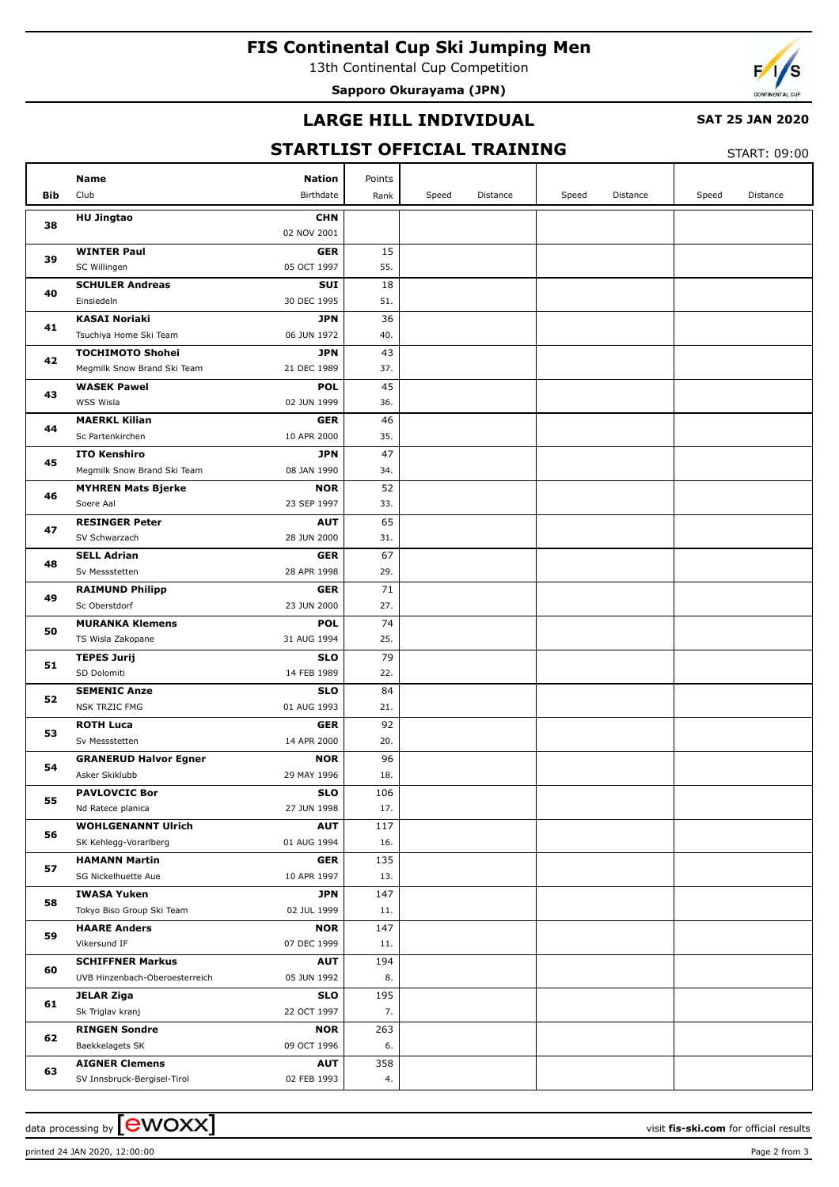# **FIS Continental Cup Ski Jumping Men**

13th Continental Cup Competition

**Sapporo Okurayama (JPN)**



### **LARGE HILL INDIVIDUAL**

#### **SAT 25 JAN 2020**

## **STARTLIST OFFICIAL TRAINING**

 $STAPT: 09:00$ 

|     |                                                                              |            |       |                 |       |          |       | <b>JIANI.</b> UJ.UU |
|-----|------------------------------------------------------------------------------|------------|-------|-----------------|-------|----------|-------|---------------------|
|     | <b>Name</b><br>Nation                                                        | Points     |       |                 |       |          |       |                     |
| Bib | Club<br>Birthdate                                                            | Rank       | Speed | <b>Distance</b> | Speed | Distance | Speed | Distance            |
|     | <b>HU Jingtao</b><br><b>CHN</b>                                              |            |       |                 |       |          |       |                     |
| 38  | 02 NOV 2001                                                                  |            |       |                 |       |          |       |                     |
| 39  | <b>WINTER Paul</b><br><b>GER</b>                                             | 15         |       |                 |       |          |       |                     |
|     | SC Willingen<br>05 OCT 1997                                                  | 55.        |       |                 |       |          |       |                     |
| 40  | <b>SCHULER Andreas</b><br><b>SUI</b>                                         | 18         |       |                 |       |          |       |                     |
|     | Einsiedeln<br>30 DEC 1995                                                    | 51.        |       |                 |       |          |       |                     |
| 41  | <b>KASAI Noriaki</b><br>JPN                                                  | 36         |       |                 |       |          |       |                     |
|     | Tsuchiya Home Ski Team<br>06 JUN 1972                                        | 40.        |       |                 |       |          |       |                     |
| 42  | <b>TOCHIMOTO Shohei</b><br>JPN<br>Megmilk Snow Brand Ski Team<br>21 DEC 1989 | 43<br>37.  |       |                 |       |          |       |                     |
|     | <b>WASEK Pawel</b><br><b>POL</b>                                             | 45         |       |                 |       |          |       |                     |
| 43  | WSS Wisla<br>02 JUN 1999                                                     | 36.        |       |                 |       |          |       |                     |
|     | <b>MAERKL Kilian</b><br><b>GER</b>                                           | 46         |       |                 |       |          |       |                     |
| 44  | Sc Partenkirchen<br>10 APR 2000                                              | 35.        |       |                 |       |          |       |                     |
|     | <b>ITO Kenshiro</b><br>JPN                                                   | 47         |       |                 |       |          |       |                     |
| 45  | Megmilk Snow Brand Ski Team<br>08 JAN 1990                                   | 34.        |       |                 |       |          |       |                     |
|     | <b>MYHREN Mats Bjerke</b><br><b>NOR</b>                                      | 52         |       |                 |       |          |       |                     |
| 46  | Soere Aal<br>23 SEP 1997                                                     | 33.        |       |                 |       |          |       |                     |
| 47  | <b>RESINGER Peter</b><br><b>AUT</b>                                          | 65         |       |                 |       |          |       |                     |
|     | SV Schwarzach<br>28 JUN 2000                                                 | 31.        |       |                 |       |          |       |                     |
| 48  | <b>SELL Adrian</b><br><b>GER</b>                                             | 67         |       |                 |       |          |       |                     |
|     | Sv Messstetten<br>28 APR 1998                                                | 29.        |       |                 |       |          |       |                     |
| 49  | <b>RAIMUND Philipp</b><br><b>GER</b><br>Sc Oberstdorf<br>23 JUN 2000         | 71         |       |                 |       |          |       |                     |
|     | <b>MURANKA Klemens</b><br><b>POL</b>                                         | 27.<br>74  |       |                 |       |          |       |                     |
| 50  | TS Wisla Zakopane<br>31 AUG 1994                                             | 25.        |       |                 |       |          |       |                     |
|     | <b>TEPES Jurij</b><br><b>SLO</b>                                             | 79         |       |                 |       |          |       |                     |
| 51  | SD Dolomiti<br>14 FEB 1989                                                   | 22.        |       |                 |       |          |       |                     |
|     | <b>SEMENIC Anze</b><br><b>SLO</b>                                            | 84         |       |                 |       |          |       |                     |
| 52  | <b>NSK TRZIC FMG</b><br>01 AUG 1993                                          | 21.        |       |                 |       |          |       |                     |
| 53  | <b>ROTH Luca</b><br><b>GER</b>                                               | 92         |       |                 |       |          |       |                     |
|     | Sv Messstetten<br>14 APR 2000                                                | 20.        |       |                 |       |          |       |                     |
| 54  | <b>GRANERUD Halvor Egner</b><br><b>NOR</b>                                   | 96         |       |                 |       |          |       |                     |
|     | Asker Skiklubb<br>29 MAY 1996                                                | 18.        |       |                 |       |          |       |                     |
| 55  | <b>PAVLOVCIC Bor</b><br><b>SLO</b>                                           | 106        |       |                 |       |          |       |                     |
|     | Nd Ratece planica<br>27 JUN 1998<br><b>WOHLGENANNT Ulrich</b><br><b>AUT</b>  | 17.<br>117 |       |                 |       |          |       |                     |
| 56  | SK Kehlegg-Vorarlberg<br>01 AUG 1994                                         | 16.        |       |                 |       |          |       |                     |
|     | <b>HAMANN Martin</b><br><b>GER</b>                                           | 135        |       |                 |       |          |       |                     |
| 57  | SG Nickelhuette Aue<br>10 APR 1997                                           | 13.        |       |                 |       |          |       |                     |
|     | <b>IWASA Yuken</b><br><b>JPN</b>                                             | 147        |       |                 |       |          |       |                     |
| 58  | Tokyo Biso Group Ski Team<br>02 JUL 1999                                     | 11.        |       |                 |       |          |       |                     |
|     | <b>HAARE Anders</b><br><b>NOR</b>                                            | 147        |       |                 |       |          |       |                     |
| 59  | Vikersund IF<br>07 DEC 1999                                                  | 11.        |       |                 |       |          |       |                     |
| 60  | <b>SCHIFFNER Markus</b><br><b>AUT</b>                                        | 194        |       |                 |       |          |       |                     |
|     | UVB Hinzenbach-Oberoesterreich<br>05 JUN 1992                                | 8.         |       |                 |       |          |       |                     |
| 61  | <b>JELAR Ziga</b><br><b>SLO</b>                                              | 195        |       |                 |       |          |       |                     |
|     | Sk Triglav kranj<br>22 OCT 1997                                              | 7.         |       |                 |       |          |       |                     |
| 62  | <b>RINGEN Sondre</b><br><b>NOR</b><br>Baekkelagets SK<br>09 OCT 1996         | 263<br>6.  |       |                 |       |          |       |                     |
|     | <b>AIGNER Clemens</b><br><b>AUT</b>                                          | 358        |       |                 |       |          |       |                     |
| 63  | SV Innsbruck-Bergisel-Tirol<br>02 FEB 1993                                   | 4.         |       |                 |       |          |       |                     |
|     |                                                                              |            |       |                 |       |          |       |                     |

data processing by **CWOXX**  $\blacksquare$